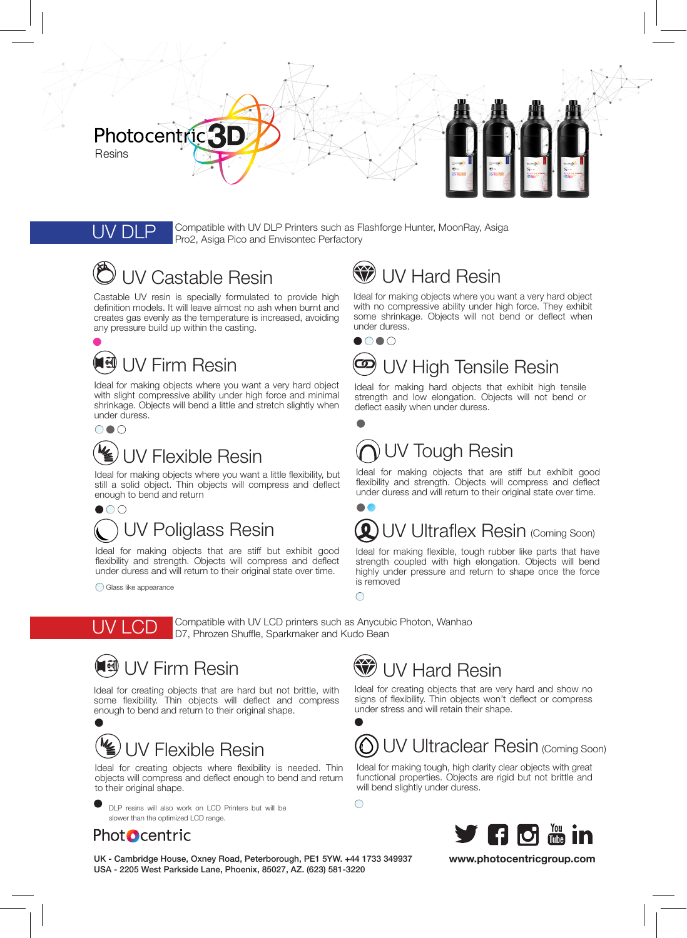#### Photocentric.3 Resins

### UV DLP

Compatible with UV DLP Printers such as Flashforge Hunter, MoonRay, Asiga Pro2, Asiga Pico and Envisontec Perfactory

Castable UV resin is specially formulated to provide high definition models. It will leave almost no ash when burnt and creates gas evenly as the temperature is increased, avoiding any pressure build up within the casting.

#### (Hai UV Firm Resin

Ideal for making objects where you want a very hard object with slight compressive ability under high force and minimal shrinkage. Objects will bend a little and stretch slightly when under duress.

#### $\circ \bullet \circ$

### UV Flexible Resin

Ideal for making objects where you want a little flexibility, but still a solid object. Thin objects will compress and deflect enough to bend and return

### $\bullet \circ \circ$ UV Poliglass Resin

Ideal for making objects that are stiff but exhibit good flexibility and strength. Objects will compress and deflect under duress and will return to their original state over time.

Glass like appearance

## UV Castable Resin UV Hard Resin

Ideal for making objects where you want a very hard object with no compressive ability under high force. They exhibit some shrinkage. Objects will not bend or deflect when under duress.

#### $\bullet$   $\bullet$   $\circ$

### UV High Tensile Resin

Ideal for making hard objects that exhibit high tensile strength and low elongation. Objects will not bend or deflect easily when under duress.

 $\bullet$ 

### UV Tough Resin

Ideal for making objects that are stiff but exhibit good flexibility and strength. Objects will compress and deflect under duress and will return to their original state over time.

# UV Ultraflex Resin (Coming Soon)

Ideal for making flexible, tough rubber like parts that have strength coupled with high elongation. Objects will bend highly under pressure and return to shape once the force is removed

#### $\subset$

 $\bigcap$ 

### UV LCD

Compatible with UV LCD printers such as Anycubic Photon, Wanhao D7, Phrozen Shuffle, Sparkmaker and Kudo Bean

### UV Firm Resin

Ideal for creating objects that are hard but not brittle, with some flexibility. Thin objects will deflect and compress enough to bend and return to their original shape.

# UV Flexible Resin

Ideal for creating objects where flexibility is needed. Thin objects will compress and deflect enough to bend and return to their original shape.

DLP resins will also work on LCD Printers but will be slower than the optimized LCD range.

### Phot**O** centric

UK - Cambridge House, Oxney Road, Peterborough, PE1 5YW. +44 1733 349937 **www.photocentricgroup.com** USA - 2205 West Parkside Lane, Phoenix, 85027, AZ. (623) 581-3220



Ideal for creating objects that are very hard and show no signs of flexibility. Thin objects won't deflect or compress under stress and will retain their shape.

## UV Ultraclear Resin (Coming Soon)

Ideal for making tough, high clarity clear objects with great functional properties. Objects are rigid but not brittle and will bend slightly under duress.